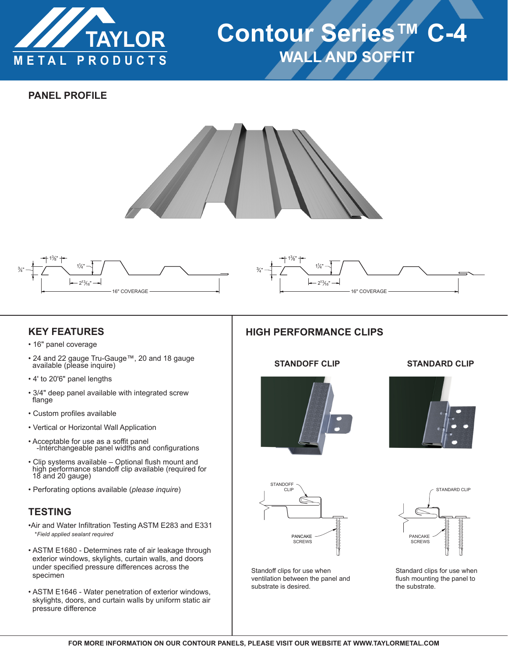

# **Contour Series™ C-4 WALL AND SOFFIT**

## **PANEL PROFILE**





# **KEY FEATURES**

- 16" panel coverage
- 24 and 22 gauge Tru-Gauge™, 20 and 18 gauge available (please inquire)
- 4' to 20'6" panel lengths
- 3/4" deep panel available with integrated screw flange
- Custom profiles available
- Vertical or Horizontal Wall Application
- Acceptable for use as a soffit panel -Interchangeable panel widths and configurations
- Clip systems available Optional flush mount and high performance standoff clip available (required for 18 and 20 gauge)
- Perforating options available (*please inquire*)

# **TESTING**

- •Air and Water Infiltration Testing ASTM E283 and E331 \**Field applied sealant required*
- ASTM E1680 Determines rate of air leakage through exterior windows, skylights, curtain walls, and doors under specified pressure differences across the specimen
- ASTM E1646 Water penetration of exterior windows, skylights, doors, and curtain walls by uniform static air pressure difference

#### 3⁄4" 13 8"  $-2^{13}/16"$   $-$ 11 4" 16" COVERAGE

# **HIGH PERFORMANCE CLIPS**



#### **STANDOFF CLIP STANDARD CLIP**





Standoff clips for use when ventilation between the panel and substrate is desired.



Standard clips for use when flush mounting the panel to the substrate.

STANDOFF CLIP